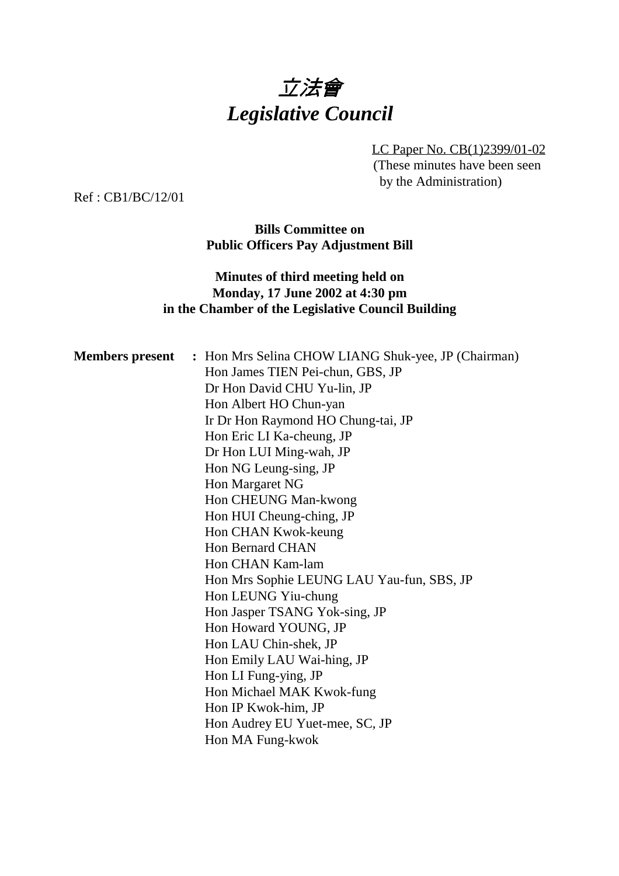# 立法會 *Legislative Council*

LC Paper No. CB(1)2399/01-02 (These minutes have been seen by the Administration)

Ref : CB1/BC/12/01

**Bills Committee on Public Officers Pay Adjustment Bill**

#### **Minutes of third meeting held on Monday, 17 June 2002 at 4:30 pm in the Chamber of the Legislative Council Building**

| <b>Members present</b> | : Hon Mrs Selina CHOW LIANG Shuk-yee, JP (Chairman) |
|------------------------|-----------------------------------------------------|
|                        | Hon James TIEN Pei-chun, GBS, JP                    |
|                        | Dr Hon David CHU Yu-lin, JP                         |
|                        | Hon Albert HO Chun-yan                              |
|                        | Ir Dr Hon Raymond HO Chung-tai, JP                  |
|                        | Hon Eric LI Ka-cheung, JP                           |
|                        | Dr Hon LUI Ming-wah, JP                             |
|                        | Hon NG Leung-sing, JP                               |
|                        | Hon Margaret NG                                     |
|                        | Hon CHEUNG Man-kwong                                |
|                        | Hon HUI Cheung-ching, JP                            |
|                        | Hon CHAN Kwok-keung                                 |
|                        | Hon Bernard CHAN                                    |
|                        | Hon CHAN Kam-lam                                    |
|                        | Hon Mrs Sophie LEUNG LAU Yau-fun, SBS, JP           |
|                        | Hon LEUNG Yiu-chung                                 |
|                        | Hon Jasper TSANG Yok-sing, JP                       |
|                        | Hon Howard YOUNG, JP                                |
|                        | Hon LAU Chin-shek, JP                               |
|                        | Hon Emily LAU Wai-hing, JP                          |
|                        | Hon LI Fung-ying, JP                                |
|                        | Hon Michael MAK Kwok-fung                           |
|                        | Hon IP Kwok-him, JP                                 |
|                        | Hon Audrey EU Yuet-mee, SC, JP                      |
|                        | Hon MA Fung-kwok                                    |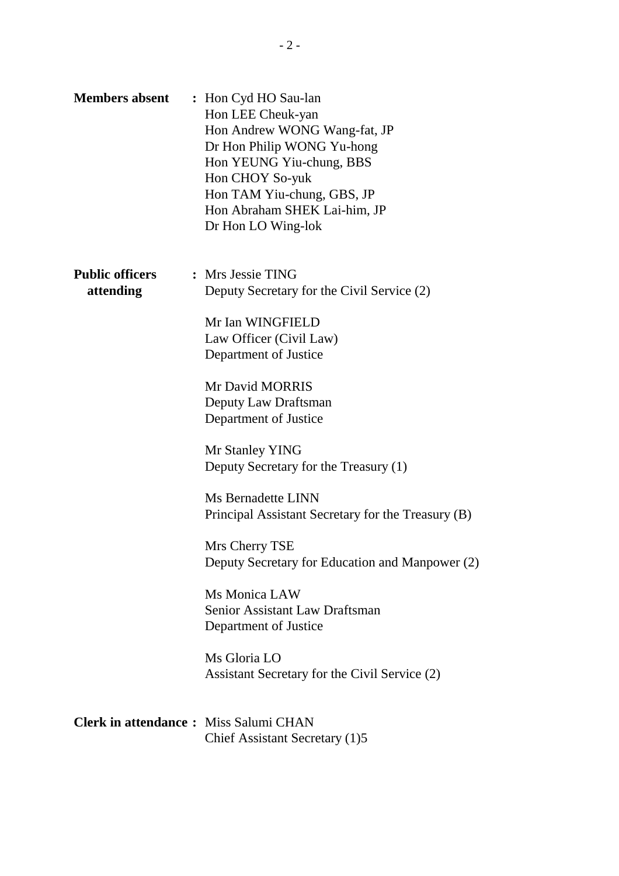| <b>Members absent</b>                        | : Hon Cyd HO Sau-lan<br>Hon LEE Cheuk-yan<br>Hon Andrew WONG Wang-fat, JP<br>Dr Hon Philip WONG Yu-hong<br>Hon YEUNG Yiu-chung, BBS<br>Hon CHOY So-yuk<br>Hon TAM Yiu-chung, GBS, JP<br>Hon Abraham SHEK Lai-him, JP<br>Dr Hon LO Wing-lok |
|----------------------------------------------|--------------------------------------------------------------------------------------------------------------------------------------------------------------------------------------------------------------------------------------------|
| <b>Public officers</b><br>attending          | : Mrs Jessie TING<br>Deputy Secretary for the Civil Service (2)<br>Mr Ian WINGFIELD<br>Law Officer (Civil Law)<br>Department of Justice                                                                                                    |
|                                              | Mr David MORRIS<br>Deputy Law Draftsman<br>Department of Justice                                                                                                                                                                           |
|                                              | Mr Stanley YING<br>Deputy Secretary for the Treasury (1)                                                                                                                                                                                   |
|                                              | Ms Bernadette LINN<br>Principal Assistant Secretary for the Treasury (B)                                                                                                                                                                   |
|                                              | Mrs Cherry TSE<br>Deputy Secretary for Education and Manpower (2)                                                                                                                                                                          |
|                                              | Ms Monica LAW<br><b>Senior Assistant Law Draftsman</b><br>Department of Justice                                                                                                                                                            |
|                                              | Ms Gloria LO<br>Assistant Secretary for the Civil Service (2)                                                                                                                                                                              |
| <b>Clerk in attendance:</b> Miss Salumi CHAN | Chief Assistant Secretary (1)5                                                                                                                                                                                                             |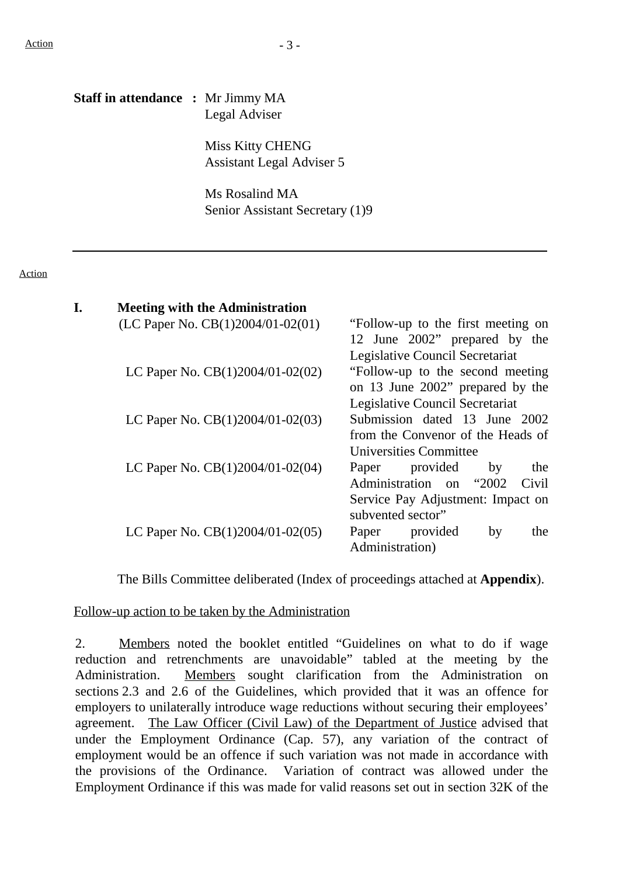Action

# **Staff in attendance :** Mr Jimmy MA Legal Adviser Miss Kitty CHENG Assistant Legal Adviser 5 Ms Rosalind MA Senior Assistant Secretary (1)9 **I. Meeting with the Administration** (LC Paper No.  $CB(1)2004/01-02(01)$  "Follow-up to the first meeting on 12 June 2002" prepared by the Legislative Council Secretariat LC Paper No.  $CB(1)2004/01-02(02)$  "Follow-up to the second meeting on 13 June 2002" prepared by the Legislative Council Secretariat LC Paper No.  $CB(1)2004/01-02(03)$  Submission dated 13 June 2002 from the Convenor of the Heads of Universities Committee LC Paper No.  $CB(1)2004/01-02(04)$  Paper provided by the

|                                                   | Administration on "2002 Civil     |    |     |
|---------------------------------------------------|-----------------------------------|----|-----|
|                                                   | Service Pay Adjustment: Impact on |    |     |
|                                                   | subvented sector"                 |    |     |
| LC Paper No. $CB(1)2004/01-02(05)$ Paper provided |                                   | hv | the |
|                                                   | Administration)                   |    |     |

The Bills Committee deliberated (Index of proceedings attached at **Appendix**).

#### Follow-up action to be taken by the Administration

2. Members noted the booklet entitled "Guidelines on what to do if wage reduction and retrenchments are unavoidable" tabled at the meeting by the Administration. Members sought clarification from the Administration on sections 2.3 and 2.6 of the Guidelines, which provided that it was an offence for employers to unilaterally introduce wage reductions without securing their employees' agreement. The Law Officer (Civil Law) of the Department of Justice advised that under the Employment Ordinance (Cap. 57), any variation of the contract of employment would be an offence if such variation was not made in accordance with the provisions of the Ordinance. Variation of contract was allowed under the Employment Ordinance if this was made for valid reasons set out in section 32K of the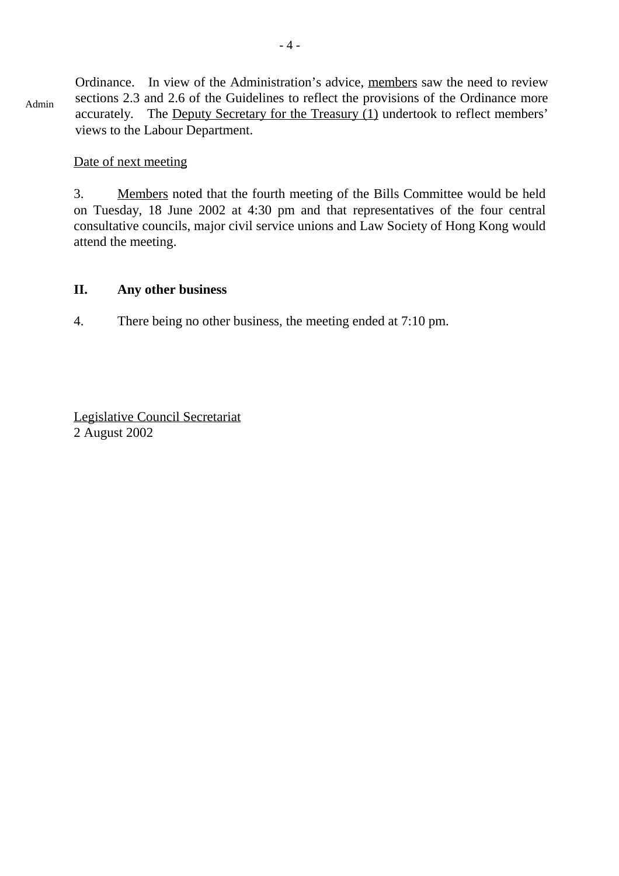Admin Ordinance. In view of the Administration's advice, members saw the need to review sections 2.3 and 2.6 of the Guidelines to reflect the provisions of the Ordinance more accurately. The Deputy Secretary for the Treasury (1) undertook to reflect members' views to the Labour Department.

#### Date of next meeting

3. Members noted that the fourth meeting of the Bills Committee would be held on Tuesday, 18 June 2002 at 4:30 pm and that representatives of the four central consultative councils, major civil service unions and Law Society of Hong Kong would attend the meeting.

#### **II. Any other business**

4. There being no other business, the meeting ended at 7:10 pm.

Legislative Council Secretariat 2 August 2002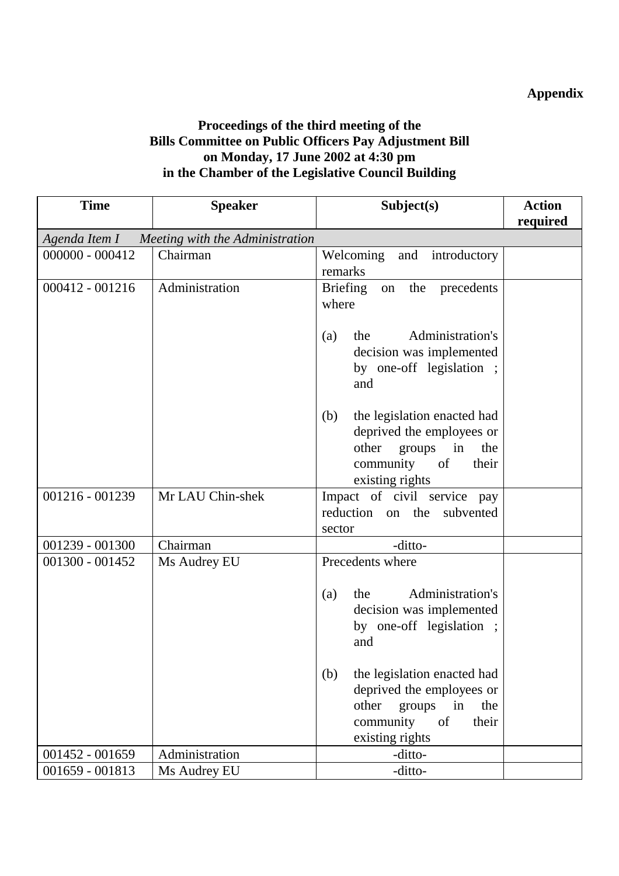## **Appendix**

### **Proceedings of the third meeting of the Bills Committee on Public Officers Pay Adjustment Bill on Monday, 17 June 2002 at 4:30 pm in the Chamber of the Legislative Council Building**

| <b>Time</b>                                     | <b>Speaker</b>   | Subject(s)                                                                                                                                                                                                                                       | <b>Action</b> |
|-------------------------------------------------|------------------|--------------------------------------------------------------------------------------------------------------------------------------------------------------------------------------------------------------------------------------------------|---------------|
|                                                 |                  |                                                                                                                                                                                                                                                  | required      |
| Agenda Item I — Meeting with the Administration |                  |                                                                                                                                                                                                                                                  |               |
| $000000 - 000412$                               | Chairman         | Welcoming<br>and introductory<br>remarks                                                                                                                                                                                                         |               |
| $000412 - 001216$                               | Administration   | <b>Briefing</b><br>on the precedents<br>where                                                                                                                                                                                                    |               |
|                                                 |                  | Administration's<br>the<br>(a)<br>decision was implemented<br>by one-off legislation;<br>and                                                                                                                                                     |               |
|                                                 |                  | the legislation enacted had<br>(b)<br>deprived the employees or<br>other<br>groups<br>in<br>the<br>community<br>of<br>their<br>existing rights                                                                                                   |               |
| 001216 - 001239                                 | Mr LAU Chin-shek | Impact of civil service pay<br>reduction on the<br>subvented<br>sector                                                                                                                                                                           |               |
| $001239 - 001300$                               | Chairman         | -ditto-                                                                                                                                                                                                                                          |               |
| 001300 - 001452                                 | Ms Audrey EU     | Precedents where<br>Administration's<br>the<br>(a)<br>decision was implemented<br>by one-off legislation ;<br>and<br>the legislation enacted had<br>(b)<br>deprived the employees or<br>other<br>groups<br>the<br>in<br>of<br>community<br>their |               |
| 001452 - 001659                                 | Administration   | existing rights<br>-ditto-                                                                                                                                                                                                                       |               |
| 001659 - 001813                                 | Ms Audrey EU     | -ditto-                                                                                                                                                                                                                                          |               |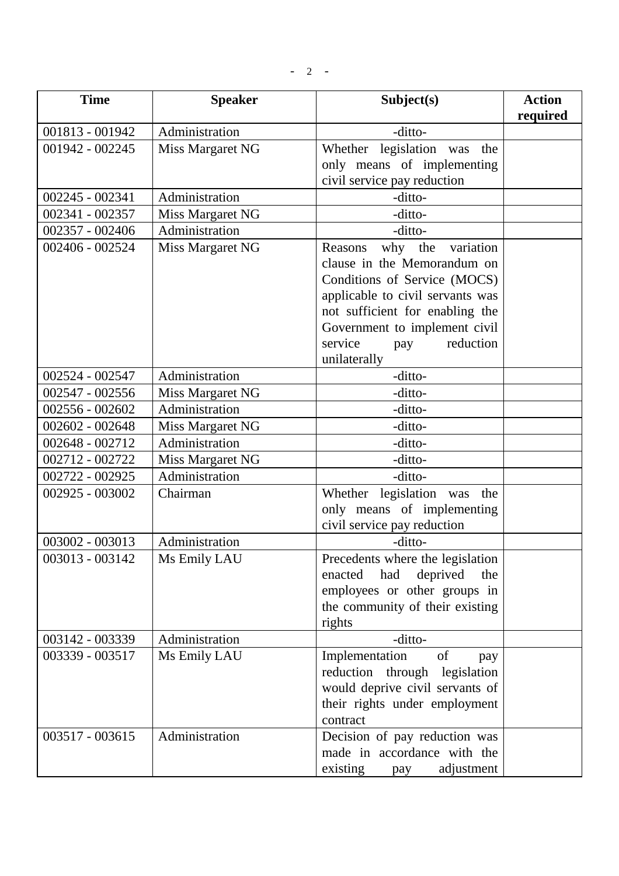$- 2 -$ 

| <b>Time</b>     | <b>Speaker</b>   | Subject(s)                                                                                                                                                                                                                                            | <b>Action</b><br>required |
|-----------------|------------------|-------------------------------------------------------------------------------------------------------------------------------------------------------------------------------------------------------------------------------------------------------|---------------------------|
| 001813 - 001942 | Administration   | -ditto-                                                                                                                                                                                                                                               |                           |
| 001942 - 002245 | Miss Margaret NG | Whether legislation was<br>the<br>only means of implementing<br>civil service pay reduction                                                                                                                                                           |                           |
| 002245 - 002341 | Administration   | -ditto-                                                                                                                                                                                                                                               |                           |
| 002341 - 002357 | Miss Margaret NG | -ditto-                                                                                                                                                                                                                                               |                           |
| 002357 - 002406 | Administration   | -ditto-                                                                                                                                                                                                                                               |                           |
| 002406 - 002524 | Miss Margaret NG | why the<br>variation<br>Reasons<br>clause in the Memorandum on<br>Conditions of Service (MOCS)<br>applicable to civil servants was<br>not sufficient for enabling the<br>Government to implement civil<br>reduction<br>service<br>pay<br>unilaterally |                           |
| 002524 - 002547 | Administration   | -ditto-                                                                                                                                                                                                                                               |                           |
| 002547 - 002556 | Miss Margaret NG | -ditto-                                                                                                                                                                                                                                               |                           |
| 002556 - 002602 | Administration   | -ditto-                                                                                                                                                                                                                                               |                           |
| 002602 - 002648 | Miss Margaret NG | -ditto-                                                                                                                                                                                                                                               |                           |
| 002648 - 002712 | Administration   | -ditto-                                                                                                                                                                                                                                               |                           |
| 002712 - 002722 | Miss Margaret NG | -ditto-                                                                                                                                                                                                                                               |                           |
| 002722 - 002925 | Administration   | -ditto-                                                                                                                                                                                                                                               |                           |
| 002925 - 003002 | Chairman         | Whether legislation was the<br>only means of implementing<br>civil service pay reduction                                                                                                                                                              |                           |
| 003002 - 003013 | Administration   | -ditto-                                                                                                                                                                                                                                               |                           |
| 003013 - 003142 | Ms Emily LAU     | Precedents where the legislation<br>deprived<br>enacted<br>had<br>the<br>employees or other groups in<br>the community of their existing<br>rights                                                                                                    |                           |
| 003142 - 003339 | Administration   | -ditto-                                                                                                                                                                                                                                               |                           |
| 003339 - 003517 | Ms Emily LAU     | Implementation<br>of<br>pay<br>reduction through legislation<br>would deprive civil servants of<br>their rights under employment<br>contract                                                                                                          |                           |
| 003517 - 003615 | Administration   | Decision of pay reduction was<br>made in accordance with the<br>existing<br>adjustment<br>pay                                                                                                                                                         |                           |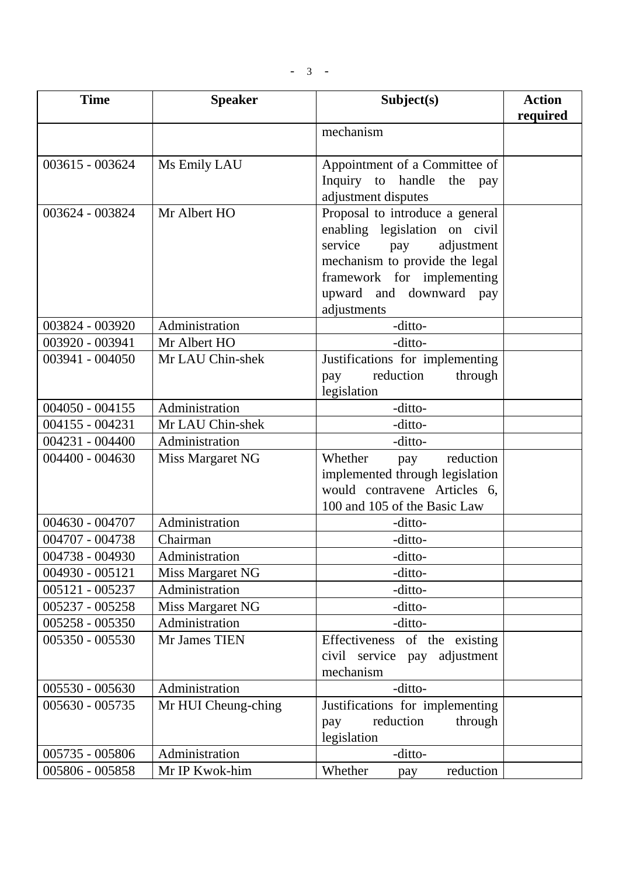$- 3 -$ 

| <b>Time</b>       | <b>Speaker</b>      | Subject(s)                                            | <b>Action</b><br>required |
|-------------------|---------------------|-------------------------------------------------------|---------------------------|
|                   |                     | mechanism                                             |                           |
|                   |                     |                                                       |                           |
| 003615 - 003624   | Ms Emily LAU        | Appointment of a Committee of                         |                           |
|                   |                     | Inquiry to handle<br>the<br>pay                       |                           |
|                   |                     | adjustment disputes                                   |                           |
| 003624 - 003824   | Mr Albert HO        | Proposal to introduce a general                       |                           |
|                   |                     | enabling legislation on civil                         |                           |
|                   |                     | service<br>adjustment<br>pay                          |                           |
|                   |                     | mechanism to provide the legal                        |                           |
|                   |                     | framework for implementing<br>upward and downward pay |                           |
|                   |                     | adjustments                                           |                           |
| 003824 - 003920   | Administration      | -ditto-                                               |                           |
| 003920 - 003941   | Mr Albert HO        | -ditto-                                               |                           |
| 003941 - 004050   | Mr LAU Chin-shek    | Justifications for implementing                       |                           |
|                   |                     | reduction<br>through<br>pay                           |                           |
|                   |                     | legislation                                           |                           |
| $004050 - 004155$ | Administration      | -ditto-                                               |                           |
| 004155 - 004231   | Mr LAU Chin-shek    | -ditto-                                               |                           |
| 004231 - 004400   | Administration      | -ditto-                                               |                           |
| $004400 - 004630$ | Miss Margaret NG    | Whether<br>reduction<br>pay                           |                           |
|                   |                     | implemented through legislation                       |                           |
|                   |                     | would contravene Articles 6,                          |                           |
|                   |                     | 100 and 105 of the Basic Law                          |                           |
| 004630 - 004707   | Administration      | -ditto-                                               |                           |
| 004707 - 004738   | Chairman            | -ditto-                                               |                           |
| 004738 - 004930   | Administration      | -ditto-                                               |                           |
| 004930 - 005121   | Miss Margaret NG    | -ditto-                                               |                           |
| 005121 - 005237   | Administration      | -ditto-                                               |                           |
| 005237 - 005258   | Miss Margaret NG    | -ditto-                                               |                           |
| 005258 - 005350   | Administration      | -ditto-                                               |                           |
| 005350 - 005530   | Mr James TIEN       | of the existing<br>Effectiveness                      |                           |
|                   |                     | civil service<br>adjustment<br>pay                    |                           |
|                   |                     | mechanism                                             |                           |
| 005530 - 005630   | Administration      | -ditto-                                               |                           |
| 005630 - 005735   | Mr HUI Cheung-ching | Justifications for implementing<br>reduction          |                           |
|                   |                     | through<br>pay<br>legislation                         |                           |
| 005735 - 005806   | Administration      | -ditto-                                               |                           |
| 005806 - 005858   | Mr IP Kwok-him      | Whether<br>reduction<br>pay                           |                           |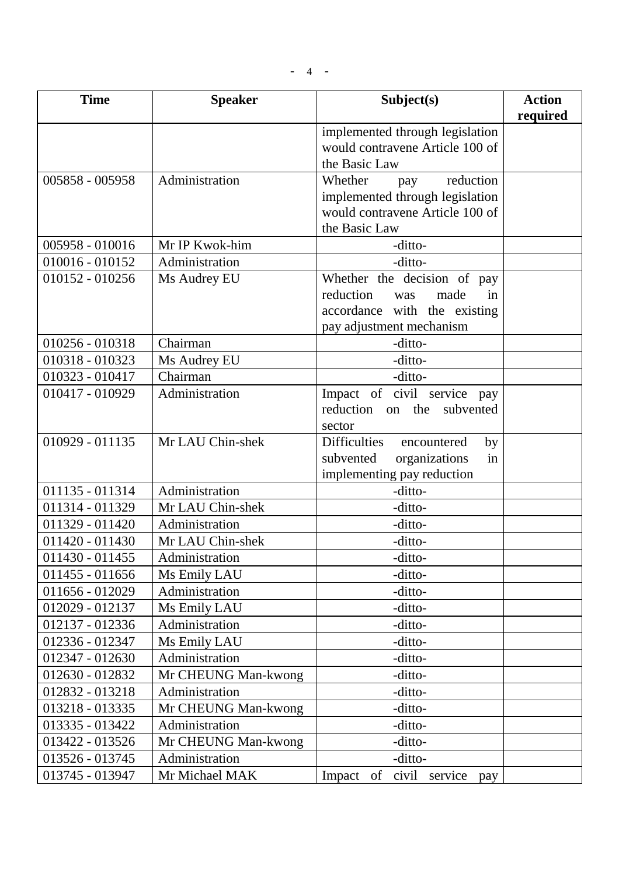$- 4 - -$ 

| <b>Time</b>       | <b>Speaker</b>      | Subject(s)                                         | <b>Action</b><br>required |
|-------------------|---------------------|----------------------------------------------------|---------------------------|
|                   |                     | implemented through legislation                    |                           |
|                   |                     | would contravene Article 100 of                    |                           |
|                   |                     | the Basic Law                                      |                           |
| 005858 - 005958   | Administration      | reduction<br>Whether<br>pay                        |                           |
|                   |                     | implemented through legislation                    |                           |
|                   |                     | would contravene Article 100 of                    |                           |
|                   |                     | the Basic Law                                      |                           |
| 005958 - 010016   | Mr IP Kwok-him      | -ditto-                                            |                           |
| $010016 - 010152$ | Administration      | -ditto-                                            |                           |
| $010152 - 010256$ | Ms Audrey EU        | Whether the decision of pay                        |                           |
|                   |                     | reduction<br>made<br>in<br>was                     |                           |
|                   |                     | accordance with the existing                       |                           |
|                   |                     | pay adjustment mechanism                           |                           |
| 010256 - 010318   | Chairman            | -ditto-                                            |                           |
| 010318 - 010323   | Ms Audrey EU        | -ditto-                                            |                           |
| 010323 - 010417   | Chairman            | -ditto-                                            |                           |
| 010417 - 010929   | Administration      | Impact of civil service pay                        |                           |
|                   |                     | reduction<br>the<br>subvented<br>on                |                           |
| 010929 - 011135   | Mr LAU Chin-shek    | sector<br><b>Difficulties</b><br>by<br>encountered |                           |
|                   |                     | organizations<br>subvented<br>in                   |                           |
|                   |                     | implementing pay reduction                         |                           |
| 011135 - 011314   | Administration      | -ditto-                                            |                           |
| 011314 - 011329   | Mr LAU Chin-shek    | -ditto-                                            |                           |
| 011329 - 011420   | Administration      | -ditto-                                            |                           |
| $011420 - 011430$ | Mr LAU Chin-shek    | -ditto-                                            |                           |
| 011430 - 011455   | Administration      | -ditto-                                            |                           |
| $011455 - 011656$ | Ms Emily LAU        | -ditto-                                            |                           |
| 011656 - 012029   | Administration      | -ditto-                                            |                           |
| 012029 - 012137   | Ms Emily LAU        | -ditto-                                            |                           |
| 012137 - 012336   | Administration      | -ditto-                                            |                           |
| 012336 - 012347   | Ms Emily LAU        | -ditto-                                            |                           |
| 012347 - 012630   | Administration      | -ditto-                                            |                           |
| 012630 - 012832   | Mr CHEUNG Man-kwong | -ditto-                                            |                           |
| 012832 - 013218   | Administration      | -ditto-                                            |                           |
| 013218 - 013335   | Mr CHEUNG Man-kwong | -ditto-                                            |                           |
| 013335 - 013422   | Administration      | -ditto-                                            |                           |
| 013422 - 013526   | Mr CHEUNG Man-kwong | -ditto-                                            |                           |
| 013526 - 013745   | Administration      | -ditto-                                            |                           |
| 013745 - 013947   | Mr Michael MAK      | civil service<br>Impact of<br>pay                  |                           |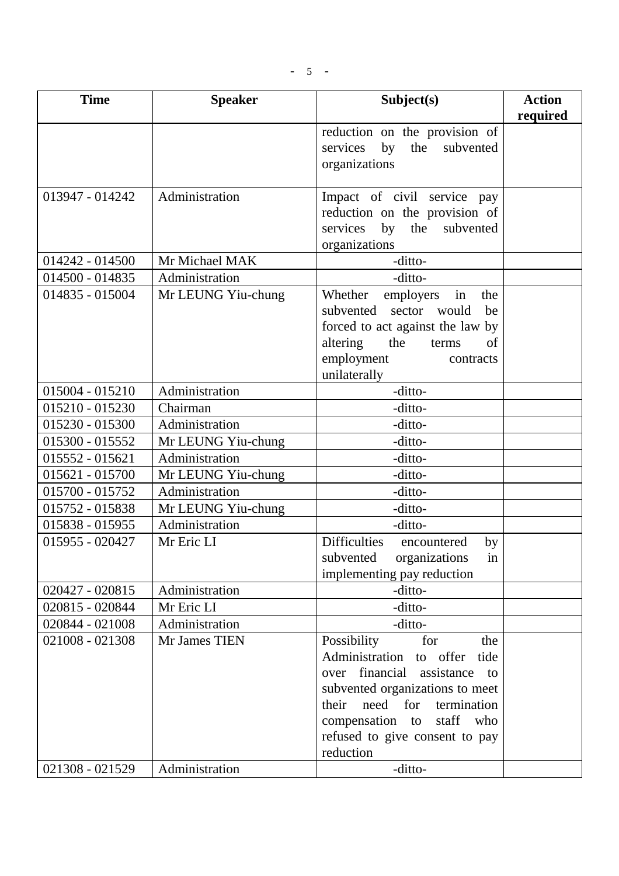| <b>Time</b>     | <b>Speaker</b>     | Subject(s)                                                                                                                                                                                                                                               | <b>Action</b><br>required |
|-----------------|--------------------|----------------------------------------------------------------------------------------------------------------------------------------------------------------------------------------------------------------------------------------------------------|---------------------------|
|                 |                    | reduction on the provision of<br>by<br>services<br>the<br>subvented<br>organizations                                                                                                                                                                     |                           |
| 013947 - 014242 | Administration     | Impact of civil service pay<br>reduction on the provision of<br>services<br>by<br>the<br>subvented<br>organizations                                                                                                                                      |                           |
| 014242 - 014500 | Mr Michael MAK     | -ditto-                                                                                                                                                                                                                                                  |                           |
| 014500 - 014835 | Administration     | -ditto-                                                                                                                                                                                                                                                  |                           |
| 014835 - 015004 | Mr LEUNG Yiu-chung | Whether<br>employers<br>the<br>in<br>sector<br>would<br>subvented<br>be<br>forced to act against the law by<br>altering<br>the<br>of<br>terms<br>employment<br>contracts<br>unilaterally                                                                 |                           |
| 015004 - 015210 | Administration     | -ditto-                                                                                                                                                                                                                                                  |                           |
| 015210 - 015230 | Chairman           | -ditto-                                                                                                                                                                                                                                                  |                           |
| 015230 - 015300 | Administration     | -ditto-                                                                                                                                                                                                                                                  |                           |
| 015300 - 015552 | Mr LEUNG Yiu-chung | -ditto-                                                                                                                                                                                                                                                  |                           |
| 015552 - 015621 | Administration     | -ditto-                                                                                                                                                                                                                                                  |                           |
| 015621 - 015700 | Mr LEUNG Yiu-chung | -ditto-                                                                                                                                                                                                                                                  |                           |
| 015700 - 015752 | Administration     | -ditto-                                                                                                                                                                                                                                                  |                           |
| 015752 - 015838 | Mr LEUNG Yiu-chung | -ditto-                                                                                                                                                                                                                                                  |                           |
| 015838 - 015955 | Administration     | -ditto-                                                                                                                                                                                                                                                  |                           |
| 015955 - 020427 | Mr Eric LI         | <b>Difficulties</b><br>by<br>encountered<br>subvented<br>organizations<br>1n<br>implementing pay reduction                                                                                                                                               |                           |
| 020427 - 020815 | Administration     | -ditto-                                                                                                                                                                                                                                                  |                           |
| 020815 - 020844 | Mr Eric LI         | -ditto-                                                                                                                                                                                                                                                  |                           |
| 020844 - 021008 | Administration     | -ditto-                                                                                                                                                                                                                                                  |                           |
| 021008 - 021308 | Mr James TIEN      | for<br>Possibility<br>the<br>Administration<br>to offer<br>tide<br>over financial assistance<br>to<br>subvented organizations to meet<br>need<br>for<br>termination<br>their<br>compensation to staff who<br>refused to give consent to pay<br>reduction |                           |
| 021308 - 021529 | Administration     | -ditto-                                                                                                                                                                                                                                                  |                           |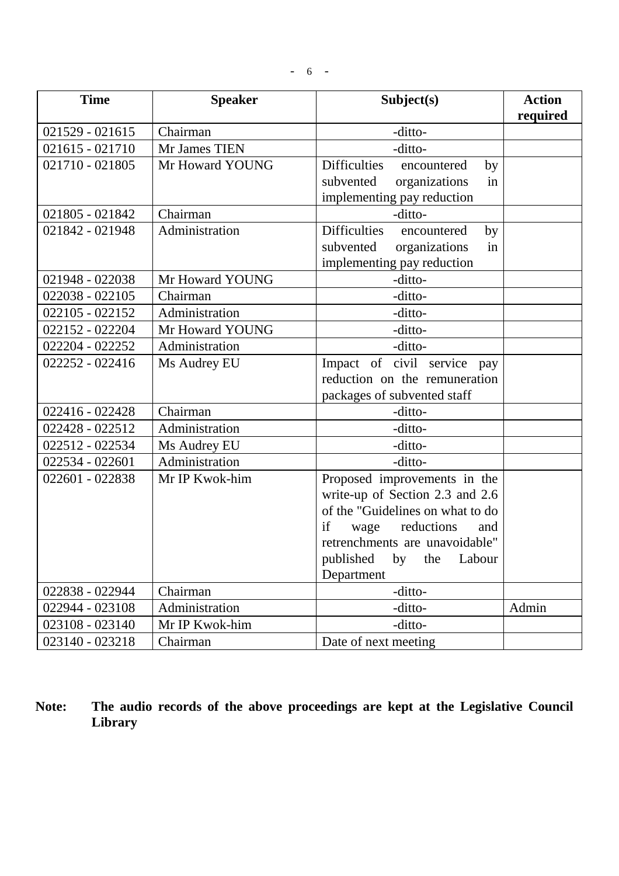| <b>Time</b>       | <b>Speaker</b>  | Subject(s)                               | <b>Action</b><br>required |
|-------------------|-----------------|------------------------------------------|---------------------------|
| $021529 - 021615$ | Chairman        | -ditto-                                  |                           |
| 021615 - 021710   | Mr James TIEN   | -ditto-                                  |                           |
| 021710 - 021805   | Mr Howard YOUNG | <b>Difficulties</b><br>encountered<br>by |                           |
|                   |                 | in<br>organizations<br>subvented         |                           |
|                   |                 | implementing pay reduction               |                           |
| 021805 - 021842   | Chairman        | -ditto-                                  |                           |
| 021842 - 021948   | Administration  | <b>Difficulties</b><br>encountered<br>by |                           |
|                   |                 | organizations<br>subvented<br>in         |                           |
|                   |                 | implementing pay reduction               |                           |
| 021948 - 022038   | Mr Howard YOUNG | -ditto-                                  |                           |
| 022038 - 022105   | Chairman        | -ditto-                                  |                           |
| 022105 - 022152   | Administration  | -ditto-                                  |                           |
| 022152 - 022204   | Mr Howard YOUNG | -ditto-                                  |                           |
| 022204 - 022252   | Administration  | -ditto-                                  |                           |
| 022252 - 022416   | Ms Audrey EU    | Impact of civil service<br>pay           |                           |
|                   |                 | reduction on the remuneration            |                           |
|                   |                 | packages of subvented staff              |                           |
| 022416 - 022428   | Chairman        | -ditto-                                  |                           |
| 022428 - 022512   | Administration  | -ditto-                                  |                           |
| 022512 - 022534   | Ms Audrey EU    | -ditto-                                  |                           |
| 022534 - 022601   | Administration  | -ditto-                                  |                           |
| 022601 - 022838   | Mr IP Kwok-him  | Proposed improvements in the             |                           |
|                   |                 | write-up of Section 2.3 and 2.6          |                           |
|                   |                 | of the "Guidelines on what to do         |                           |
|                   |                 | if<br>reductions<br>wage<br>and          |                           |
|                   |                 | retrenchments are unavoidable"           |                           |
|                   |                 | published<br>Labour<br>by<br>the         |                           |
|                   |                 | Department                               |                           |
| 022838 - 022944   | Chairman        | -ditto-                                  |                           |
| 022944 - 023108   | Administration  | -ditto-                                  | Admin                     |
| 023108 - 023140   | Mr IP Kwok-him  | -ditto-                                  |                           |
| 023140 - 023218   | Chairman        | Date of next meeting                     |                           |

**Note: The audio records of the above proceedings are kept at the Legislative Council Library**